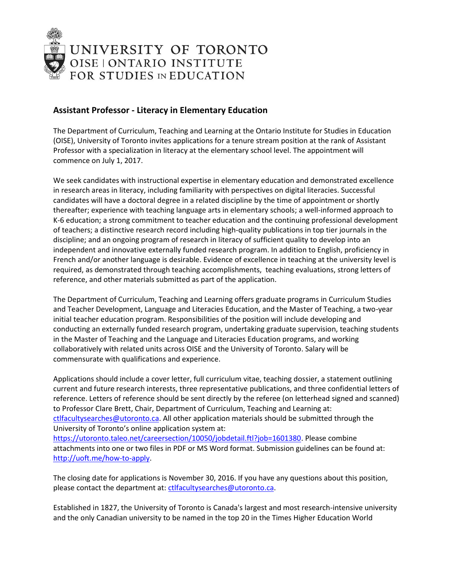

## **Assistant Professor - Literacy in Elementary Education**

The Department of Curriculum, Teaching and Learning at the Ontario Institute for Studies in Education (OISE), University of Toronto invites applications for a tenure stream position at the rank of Assistant Professor with a specialization in literacy at the elementary school level. The appointment will commence on July 1, 2017.

We seek candidates with instructional expertise in elementary education and demonstrated excellence in research areas in literacy, including familiarity with perspectives on digital literacies. Successful candidates will have a doctoral degree in a related discipline by the time of appointment or shortly thereafter; experience with teaching language arts in elementary schools; a well-informed approach to K-6 education; a strong commitment to teacher education and the continuing professional development of teachers; a distinctive research record including high-quality publications in top tier journals in the discipline; and an ongoing program of research in literacy of sufficient quality to develop into an independent and innovative externally funded research program. In addition to English, proficiency in French and/or another language is desirable. Evidence of excellence in teaching at the university level is required, as demonstrated through teaching accomplishments, teaching evaluations, strong letters of reference, and other materials submitted as part of the application.

The Department of Curriculum, Teaching and Learning offers graduate programs in Curriculum Studies and Teacher Development, Language and Literacies Education, and the Master of Teaching, a two-year initial teacher education program. Responsibilities of the position will include developing and conducting an externally funded research program, undertaking graduate supervision, teaching students in the Master of Teaching and the Language and Literacies Education programs, and working collaboratively with related units across OISE and the University of Toronto. Salary will be commensurate with qualifications and experience.

Applications should include a cover letter, full curriculum vitae, teaching dossier, a statement outlining current and future research interests, three representative publications, and three confidential letters of reference. Letters of reference should be sent directly by the referee (on letterhead signed and scanned) to Professor Clare Brett, Chair, Department of Curriculum, Teaching and Learning at: [ctlfacultysearches@utoronto.ca.](mailto:ctlfacultysearches@utoronto.ca) All other application materials should be submitted through the University of Toronto's online application system at: [https://utoronto.taleo.net/careersection/10050/jobdetail.ftl?job=1601380.](https://utoronto.taleo.net/careersection/10050/jobdetail.ftl?job=1601380) Please combine attachments into one or two files in PDF or MS Word format. Submission guidelines can be found at: [http://uoft.me/how-to-apply.](http://uoft.me/how-to-apply)

The closing date for applications is November 30, 2016. If you have any questions about this position, please contact the department at: [ctlfacultysearches@utoronto.ca.](mailto:ctlfacultysearches@utoronto.ca)

Established in 1827, the University of Toronto is Canada's largest and most research-intensive university and the only Canadian university to be named in the top 20 in the Times Higher Education World